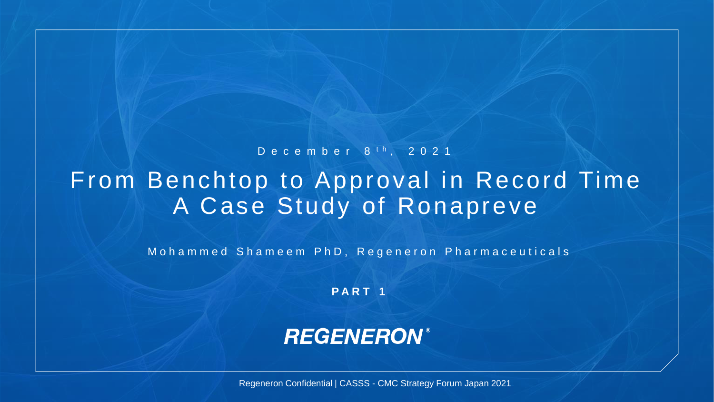## From Benchtop to Approval in Record Time A Case Study of Ronapreve D e c e m b e r 8 <sup>t h</sup> , 2 0 2 1

Mohammed Shameem PhD, Regeneron Pharmaceuticals

**P A R T 1**

### **REGENERON®**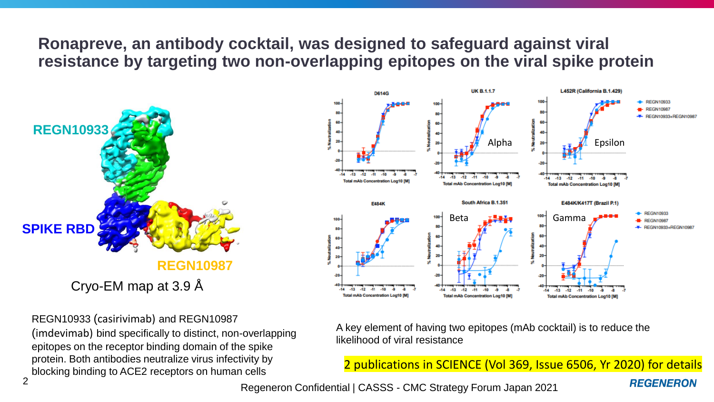**Ronapreve, an antibody cocktail, was designed to safeguard against viral resistance by targeting two non-overlapping epitopes on the viral spike protein** 



REGN10933 (casirivimab) and REGN10987 (imdevimab) bind specifically to distinct, non-overlapping epitopes on the receptor binding domain of the spike protein. Both antibodies neutralize virus infectivity by blocking binding to ACE2 receptors on human cells



A key element of having two epitopes (mAb cocktail) is to reduce the likelihood of viral resistance

2 publications in SCIENCE (Vol 369, Issue 6506, Yr 2020) for details

**REGENERON**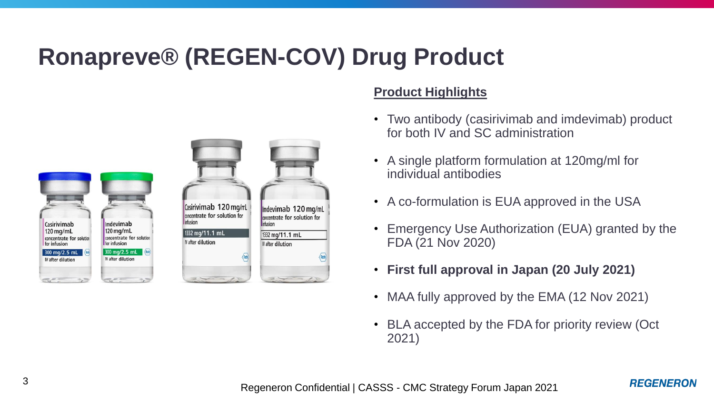# **Ronapreve® (REGEN-COV) Drug Product**



### **Product Highlights**

- Two antibody (casirivimab and imdevimab) product for both IV and SC administration
- A single platform formulation at 120mg/ml for individual antibodies
- A co-formulation is EUA approved in the USA
- Emergency Use Authorization (EUA) granted by the FDA (21 Nov 2020)
- **First full approval in Japan (20 July 2021)**
- MAA fully approved by the EMA (12 Nov 2021)
- BLA accepted by the FDA for priority review (Oct 2021)

**REGENERON**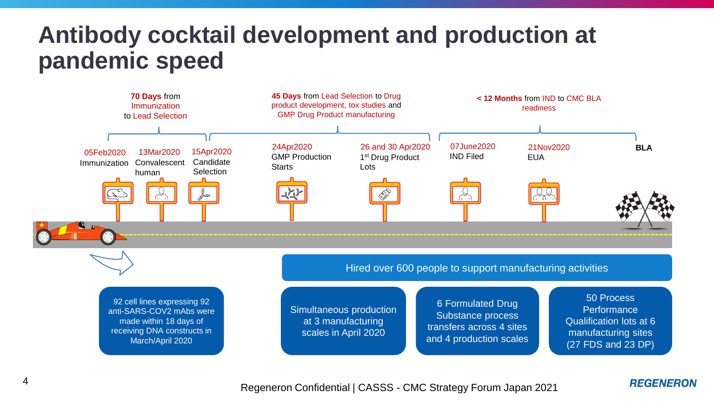## **Antibody cocktail development and production at pandemic speed**



#### **REGENERON**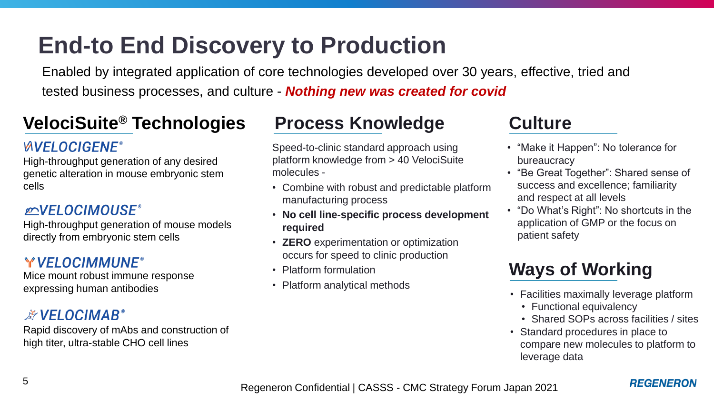# **End-to End Discovery to Production**

Enabled by integrated application of core technologies developed over 30 years, effective, tried and tested business processes, and culture - *Nothing new was created for covid*

## **VelociSuite® Technologies**

### **WVELOCIGENE®**

High-throughput generation of any desired genetic alteration in mouse embryonic stem cells

### *ENVELOCIMOUSE*

High-throughput generation of mouse models directly from embryonic stem cells

### Y VELOCIMMUNE®

Mice mount robust immune response expressing human antibodies

### **EXPELOCIMAB®**

Rapid discovery of mAbs and construction of high titer, ultra-stable CHO cell lines

### **Process Knowledge**

Speed-to-clinic standard approach using platform knowledge from > 40 VelociSuite molecules -

- Combine with robust and predictable platform manufacturing process
- **No cell line-specific process development required**
- **ZERO** experimentation or optimization occurs for speed to clinic production
- Platform formulation
- Platform analytical methods

### **Culture**

- "Make it Happen": No tolerance for bureaucracy
- "Be Great Together": Shared sense of success and excellence; familiarity and respect at all levels
- "Do What's Right": No shortcuts in the application of GMP or the focus on patient safety

## **Ways of Working**

- Facilities maximally leverage platform
	- Functional equivalency
	- Shared SOPs across facilities / sites
- Standard procedures in place to compare new molecules to platform to leverage data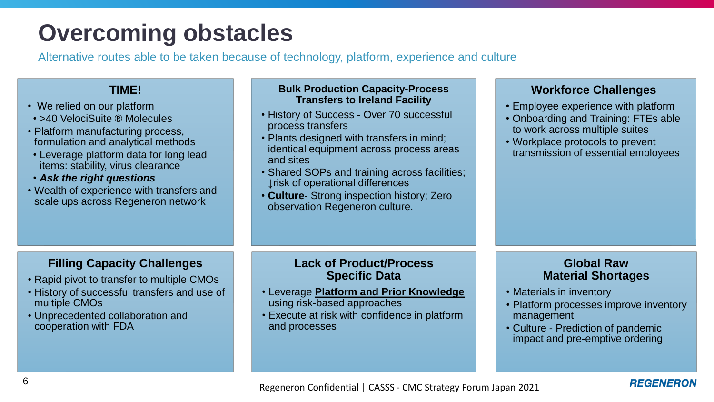# **Overcoming obstacles**

Alternative routes able to be taken because of technology, platform, experience and culture

### **TIME!**

- We relied on our platform
- >40 VelociSuite ® Molecules
- Platform manufacturing process, formulation and analytical methods
- Leverage platform data for long lead items: stability, virus clearance
- *Ask the right questions*
- Wealth of experience with transfers and scale ups across Regeneron network

#### **Bulk Production Capacity-Process Transfers to Ireland Facility**

- History of Success Over 70 successful process transfers
- Plants designed with transfers in mind; identical equipment across process areas and sites
- Shared SOPs and training across facilities; ↓risk of operational differences
- **Culture-** Strong inspection history; Zero observation Regeneron culture.

#### **Workforce Challenges**

- Employee experience with platform
- Onboarding and Training: FTEs able to work across multiple suites
- Workplace protocols to prevent transmission of essential employees

### **Filling Capacity Challenges**

- Rapid pivot to transfer to multiple CMOs
- History of successful transfers and use of multiple CMOs
- Unprecedented collaboration and cooperation with FDA

#### **Lack of Product/Process Specific Data**

- Leverage **Platform and Prior Knowledge**  using risk-based approaches
- Execute at risk with confidence in platform and processes

#### **Global Raw Material Shortages**

- Materials in inventory
- Platform processes improve inventory management
- Culture Prediction of pandemic impact and pre-emptive ordering

#### **REGENERON**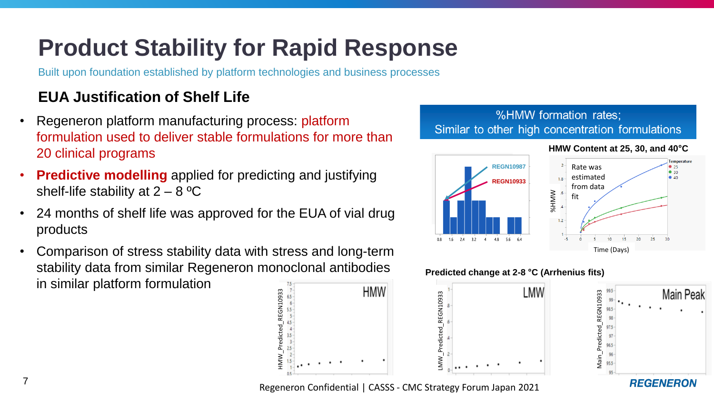# **Product Stability for Rapid Response**

Built upon foundation established by platform technologies and business processes

### **EUA Justification of Shelf Life**

- Regeneron platform manufacturing process: platform formulation used to deliver stable formulations for more than 20 clinical programs
- **Predictive modelling** applied for predicting and justifying shelf-life stability at  $2 - 8$  °C
- 24 months of shelf life was approved for the EUA of vial drug products
- Comparison of stress stability data with stress and long-term stability data from similar Regeneron monoclonal antibodies in similar platform formulation



#### %HMW formation rates; Similar to other high concentration formulations



#### **Predicted change at 2-8 °C (Arrhenius fits)**

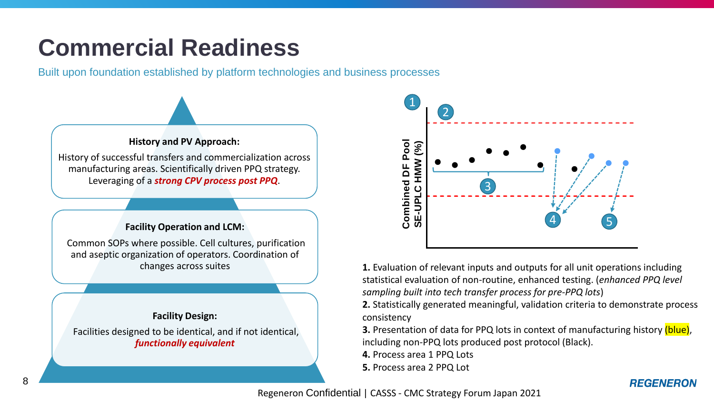# **Commercial Readiness**

Built upon foundation established by platform technologies and business processes





**1.** Evaluation of relevant inputs and outputs for all unit operations including statistical evaluation of non-routine, enhanced testing. (*enhanced PPQ level sampling built into tech transfer process for pre-PPQ lots*)

**2.** Statistically generated meaningful, validation criteria to demonstrate process consistency

**3.** Presentation of data for PPQ lots in context of manufacturing history (blue), including non-PPQ lots produced post protocol (Black).

**4.** Process area 1 PPQ Lots

**5.** Process area 2 PPQ Lot